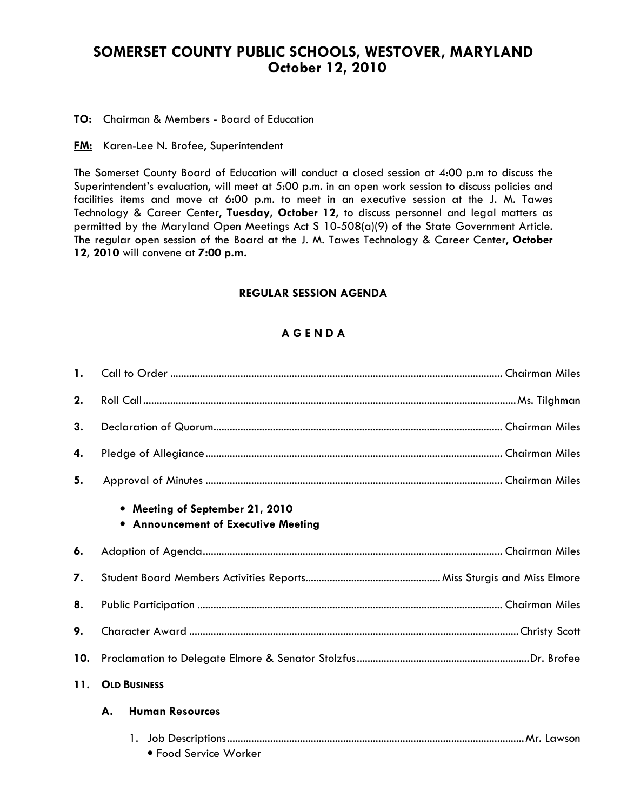# SOMERSET COUNTY PUBLIC SCHOOLS, WESTOVER, MARYLAND October 12, 2010

TO: Chairman & Members - Board of Education

**FM:** Karen-Lee N. Brofee, Superintendent

The Somerset County Board of Education will conduct a closed session at 4:00 p.m to discuss the Superintendent's evaluation, will meet at 5:00 p.m. in an open work session to discuss policies and facilities items and move at 6:00 p.m. to meet in an executive session at the J. M. Tawes Technology & Career Center, Tuesday, October 12, to discuss personnel and legal matters as permitted by the Maryland Open Meetings Act S 10-508(a)(9) of the State Government Article. The regular open session of the Board at the J. M. Tawes Technology & Career Center, October 12, 2010 will convene at 7:00 p.m.

# REGULAR SESSION AGENDA

# A G E N D A

| $\mathbf{1}$ . |                                                                               |  |  |  |
|----------------|-------------------------------------------------------------------------------|--|--|--|
| 2.             |                                                                               |  |  |  |
| 3.             |                                                                               |  |  |  |
| 4.             |                                                                               |  |  |  |
| 5.             |                                                                               |  |  |  |
|                | • Meeting of September 21, 2010<br><b>.</b> Announcement of Executive Meeting |  |  |  |
| 6.             |                                                                               |  |  |  |
| 7.             |                                                                               |  |  |  |
| 8.             |                                                                               |  |  |  |
| 9.             |                                                                               |  |  |  |
| 10.            |                                                                               |  |  |  |
| 11.            | <b>OLD BUSINESS</b>                                                           |  |  |  |
|                | А.<br><b>Human Resources</b>                                                  |  |  |  |
|                |                                                                               |  |  |  |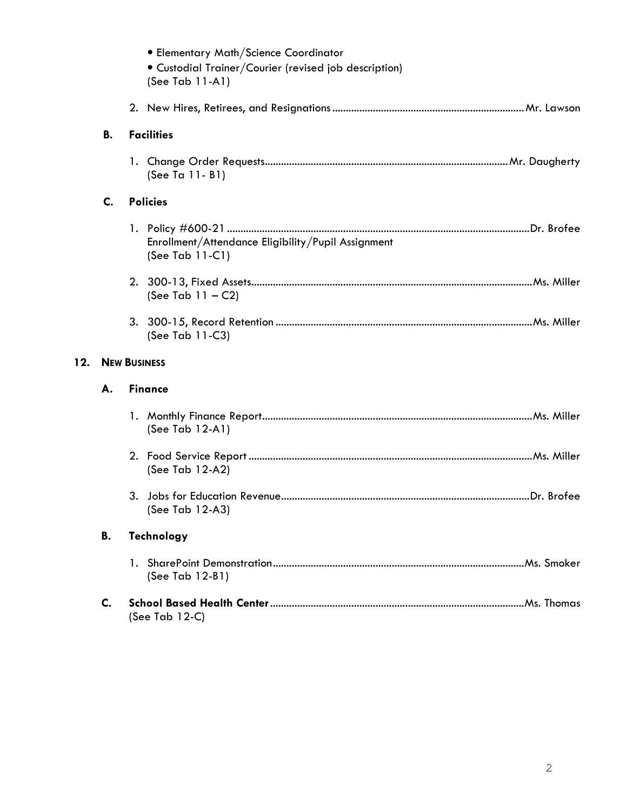|     |           | • Elementary Math/Science Coordinator<br>· Custodial Trainer/Courier (revised job description)<br>(See Tab 11-A1) |
|-----|-----------|-------------------------------------------------------------------------------------------------------------------|
|     |           |                                                                                                                   |
|     | <b>B.</b> | <b>Facilities</b>                                                                                                 |
|     |           | (See Ta 11-B1)                                                                                                    |
|     | C.        | <b>Policies</b>                                                                                                   |
|     |           | Enrollment/Attendance Eligibility/Pupil Assignment<br>(See Tab 11-C1)                                             |
|     |           | (See Tab $11 - C2$ )                                                                                              |
|     |           | (See Tab 11-C3)                                                                                                   |
| 12. |           | <b>NEW BUSINESS</b>                                                                                               |
|     | А.        | <b>Finance</b>                                                                                                    |
|     |           | (See Tab $12-A1$ )                                                                                                |
|     |           | (See Tab 12-A2)                                                                                                   |
|     |           | (See Tab 12-A3)                                                                                                   |
|     | В.        | <b>Technology</b>                                                                                                 |
|     |           | (See Tab $12-B1$ )                                                                                                |
|     | C.        | (See Tab $12-C$ )                                                                                                 |